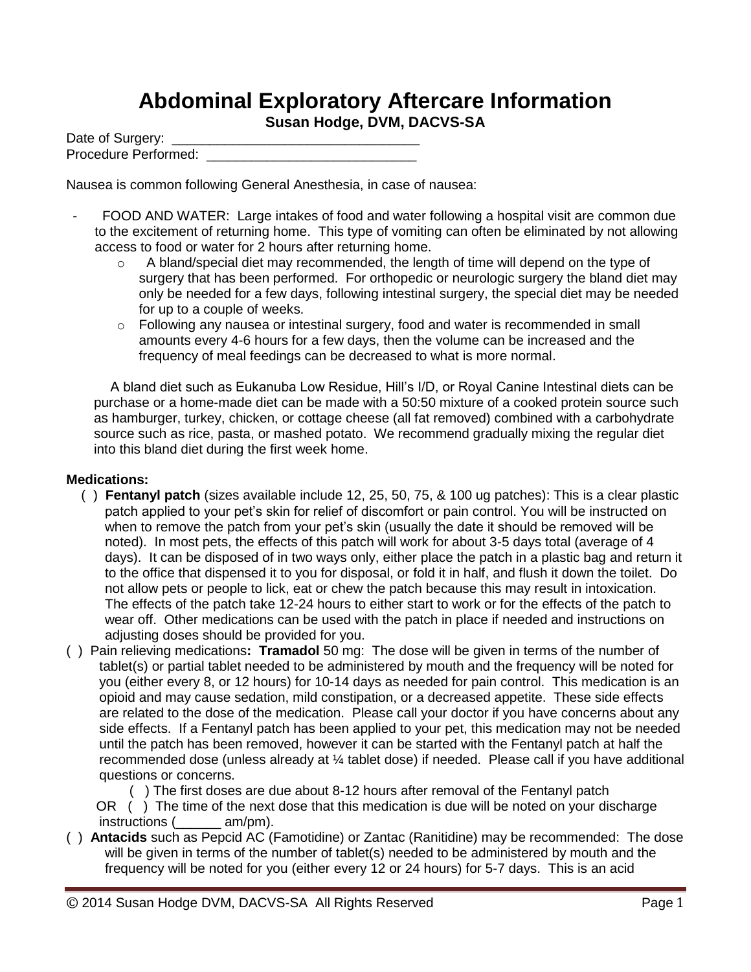## **Abdominal Exploratory Aftercare Information**

**Susan Hodge, DVM, DACVS-SA**

| Date of Surgery:     |  |
|----------------------|--|
| Procedure Performed: |  |

Nausea is common following General Anesthesia, in case of nausea:

- FOOD AND WATER: Large intakes of food and water following a hospital visit are common due to the excitement of returning home. This type of vomiting can often be eliminated by not allowing access to food or water for 2 hours after returning home.
	- o A bland/special diet may recommended, the length of time will depend on the type of surgery that has been performed. For orthopedic or neurologic surgery the bland diet may only be needed for a few days, following intestinal surgery, the special diet may be needed for up to a couple of weeks.
	- $\circ$  Following any nausea or intestinal surgery, food and water is recommended in small amounts every 4-6 hours for a few days, then the volume can be increased and the frequency of meal feedings can be decreased to what is more normal.

A bland diet such as Eukanuba Low Residue, Hill's I/D, or Royal Canine Intestinal diets can be purchase or a home-made diet can be made with a 50:50 mixture of a cooked protein source such as hamburger, turkey, chicken, or cottage cheese (all fat removed) combined with a carbohydrate source such as rice, pasta, or mashed potato. We recommend gradually mixing the regular diet into this bland diet during the first week home.

## **Medications:**

- ( ) **Fentanyl patch** (sizes available include 12, 25, 50, 75, & 100 ug patches): This is a clear plastic patch applied to your pet's skin for relief of discomfort or pain control. You will be instructed on when to remove the patch from your pet's skin (usually the date it should be removed will be noted). In most pets, the effects of this patch will work for about 3-5 days total (average of 4 days). It can be disposed of in two ways only, either place the patch in a plastic bag and return it to the office that dispensed it to you for disposal, or fold it in half, and flush it down the toilet. Do not allow pets or people to lick, eat or chew the patch because this may result in intoxication. The effects of the patch take 12-24 hours to either start to work or for the effects of the patch to wear off. Other medications can be used with the patch in place if needed and instructions on adjusting doses should be provided for you.
- ( ) Pain relieving medications**: Tramadol** 50 mg: The dose will be given in terms of the number of tablet(s) or partial tablet needed to be administered by mouth and the frequency will be noted for you (either every 8, or 12 hours) for 10-14 days as needed for pain control. This medication is an opioid and may cause sedation, mild constipation, or a decreased appetite. These side effects are related to the dose of the medication. Please call your doctor if you have concerns about any side effects. If a Fentanyl patch has been applied to your pet, this medication may not be needed until the patch has been removed, however it can be started with the Fentanyl patch at half the recommended dose (unless already at ¼ tablet dose) if needed. Please call if you have additional questions or concerns.

( ) The first doses are due about 8-12 hours after removal of the Fentanyl patch

 OR ( ) The time of the next dose that this medication is due will be noted on your discharge instructions ( \_\_\_\_\_ am/pm).

( ) **Antacids** such as Pepcid AC (Famotidine) or Zantac (Ranitidine) may be recommended:The dose will be given in terms of the number of tablet(s) needed to be administered by mouth and the frequency will be noted for you (either every 12 or 24 hours) for 5-7 days. This is an acid